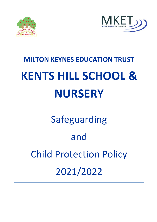



# **MILTON KEYNES EDUCATION TRUST KENTS HILL SCHOOL & NURSERY**

# Safeguarding and Child Protection Policy 2021/2022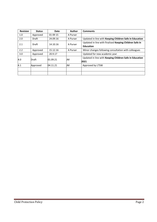| <b>Revision</b> | <b>Status</b> | Date     | Author   | <b>Comments</b>                                         |
|-----------------|---------------|----------|----------|---------------------------------------------------------|
| 1.0             | Approved      | 01 09 15 | A Purser |                                                         |
| 2.0             | Draft         | 24.09.16 | A Purser | Updated in line with Keeping Children Safe in Education |
| 2.1             | <b>Draft</b>  | 14.10.16 | A Purser | Updated in line with finalised Keeping Children Safe in |
|                 |               |          |          | <b>Education</b>                                        |
| 2.2             | Approved      | 15.12.16 | A Purser | Minor changes following consultation with colleagues    |
| 3.0             | Approved      | 20.9.17  |          | Updated for new academic year                           |
| 4.0             | Draft         | 01.09.21 | JM       | Updated in line with Keeping Children Safe in Education |
|                 |               |          |          | 2021                                                    |
| 4.1             | Approved      | 04.11.21 | JΜ       | Approved by LTSW                                        |
|                 |               |          |          |                                                         |
|                 |               |          |          |                                                         |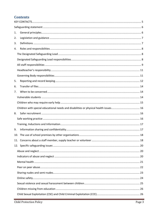# **Contents**

| 1.  |  |  |  |  |  |
|-----|--|--|--|--|--|
| 2.  |  |  |  |  |  |
| 3.  |  |  |  |  |  |
| 4.  |  |  |  |  |  |
|     |  |  |  |  |  |
|     |  |  |  |  |  |
|     |  |  |  |  |  |
|     |  |  |  |  |  |
|     |  |  |  |  |  |
| 5.  |  |  |  |  |  |
| 6.  |  |  |  |  |  |
| 7.  |  |  |  |  |  |
|     |  |  |  |  |  |
|     |  |  |  |  |  |
|     |  |  |  |  |  |
| 8.  |  |  |  |  |  |
|     |  |  |  |  |  |
|     |  |  |  |  |  |
| 9.  |  |  |  |  |  |
| 10. |  |  |  |  |  |
|     |  |  |  |  |  |
|     |  |  |  |  |  |
|     |  |  |  |  |  |
|     |  |  |  |  |  |
|     |  |  |  |  |  |
|     |  |  |  |  |  |
|     |  |  |  |  |  |
|     |  |  |  |  |  |
|     |  |  |  |  |  |
|     |  |  |  |  |  |
|     |  |  |  |  |  |
|     |  |  |  |  |  |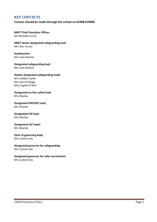# <span id="page-4-0"></span>**KEY CONTACTS**

#### **Contact should be made through the school on 01908 679809**

#### **MKET Chief Executive Officer:**

Ms Michelle Currie

#### **MKET Senior designated safeguarding lead:**

Mrs Ann Purser

# **Headteacher:**

Mrs Jane Mackie

## **Designated safeguarding lead:**

Mrs Jane Mackie

## **Deputy designated safeguarding leads:**

Mrs Debbie Castle Mrs Sue Armitage Miss Sophie O'Dell

#### **Designated on-line safety lead:**  Mrs Mackie

**Designated PREVENT lead:**  Mrs Mackie

#### **Designated CSE lead:**  Mrs Mackie

#### **Designated LAC leads:**  Mrs Mackie

#### **Chair of governing body**  Mrs Justine Ives

#### **Designated governor for safeguarding:**  Mrs Justine Ives

# **Designated governor for safer recruitment:**

Mrs Justine Ives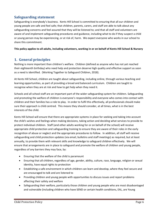# <span id="page-5-0"></span>**Safeguarding statement**

Safeguarding is everybody's business. Kents Hill School is committed to ensuring that all our children and young people are safe and feel safe; that children, parents, carers, and staff are able to talk about any safeguarding concerns and feel assured that they will be listened to; and that all staff and volunteers are aware of and implement safeguarding procedures and guidance, including what to do if they suspect a child or young person may be experiencing, or at risk of, harm. We expect everyone who works in our school to share this commitment.

**This policy applies to all adults, including volunteers, working in or on behalf of Kents Hill School & Nursery** 

# <span id="page-5-1"></span>**1. General principles**

Nothing is more important than children's welfare. Children (defined as anyone who has not yet reached their eighteenth birthday) who need help and protection deserve high quality and effective support as soon as a need is identified. (Working Together to Safeguard Children, 2018).

At Kents Hill School, children are taught about safeguarding, including online, through various teaching and learning opportunities, as part of providing a broad and balanced curriculum. Children are taught to recognise when they are at risk and how to get help when they need it.

Schools and all school staff are an important part of the wider safeguarding system for children. Safeguarding and promoting the welfare of children is everyone's responsibility and everyone who comes into contact with children and their families has a role to play. In order to fulfil this effectively, all professionals should make sure their approach is child centred. This means they should consider, at all times, what is in the best interests of the child.

Kents Hill School will ensure that there are appropriate systems in place for seeking and taking into account the child's wishes and feelings when making decisions, taking action and deciding what services to provide to protect individual children. Staff (and other adults working for or on behalf of the school) will receive appropriate child protection and safeguarding training to ensure they are aware of their roles in the early recognition of abuse or neglect and the appropriate procedures to follow. In addition, all staff will receive safeguarding and child protection updates (via email, bulletins and staff meetings) as required, but at least annually, to provide them with relevant skills and knowledge to safeguard children effectively. We will ensure that arrangements are in place to safeguard and promote the welfare of children and young people, regardless of any barriers they may face, by:

- Ensuring that the welfare of the child is paramount
- Ensuring that all children, regardless of age, gender, ability, culture, race, language, religion or sexual identity, have equal rights to protection
- Establishing a safe environment in which children can learn and develop, where they feel secure and are encouraged to talk and are listened to
- Providing children and young people with opportunities to discuss issues and report problems affecting their safety and welfare
- Safeguarding their welfare, particularly those children and young people who are most disadvantaged and vulnerable (including children who have SEND or certain health conditions, EAL, are Young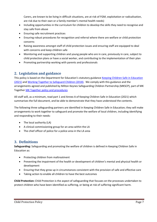Carers, are known to be living in difficult situations, are at risk of FGM, exploitation or radicalisation, are risk due to their own or a family member's mental health needs)

- Including opportunities in the curriculum for children to develop the skills they need to recognise and stay safe from abuse
- Ensuring safe recruitment practices
- Ensuring robust procedures for recognition and referral where there are welfare or child protection concerns
- Raising awareness amongst staff of child protection issues and ensuring staff are equipped to deal with concerns and keep children safe
- Monitoring and supporting children and young people who are in care, previously in care, subject to child protection plans or have a social worker, and contributing to the implementation of their plan
- Promoting partnership working with parents and professionals

# <span id="page-6-0"></span>**2. Legislation and guidance**

This policy is based on the Department for Education's statutory guidance [Keeping Children Safe in Education](https://assets.publishing.service.gov.uk/government/uploads/system/uploads/attachment_data/file/1007260/Keeping_children_safe_in_education_2021.pdf)  [\(2021\)](https://assets.publishing.service.gov.uk/government/uploads/system/uploads/attachment_data/file/1007260/Keeping_children_safe_in_education_2021.pdf) and [Working Together to Safeguard Children \(2018\).](https://www.gov.uk/government/publications/working-together-to-safeguard-children--2) We comply with this guidance and the arrangements agreed and published by Milton Keynes Safeguarding Children Partnership (MKSCP), part of MK Together [MK Together policy and procedures](http://www.mkscb.org/policy-procedures/) 

All staff will, as a minimum, read part 1 and Annex A of Keeping Children Safe in Education (2021) which summarises the full document, and be able to demonstrate that they have understood the contents.

The following three safeguarding partners are identified in Keeping Children Safe in Education; they will make arrangements to work together to safeguard and promote the welfare of local children, including identifying and responding to their needs:

- The local authority (LA)
- A clinical commissioning group for an area within the LA
- The chief officer of police for a police area in the LA area

# <span id="page-6-1"></span>**3. Definitions**

**Safeguarding:** Safeguarding and promoting the welfare of children is defined in Keeping Children Safe in Education as:

- Protecting children from maltreatment
- Preventing the impairment of the health or development of children's mental and physical health or development
- Ensuring that they grow up in circumstances consistent with the provision of safe and effective care
- Taking action to enable all children to have the best outcomes

**Child Protection:** Child Protection is the aspect of safeguarding that focuses on the processes undertaken to protect children who have been identified as suffering, or being at risk of suffering significant harm.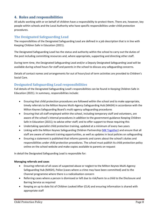# <span id="page-7-0"></span>**4. Roles and responsibilities**

All adults working with or on behalf of children have a responsibility to protect them. There are, however, key people within schools and the Local Authority who have specific responsibilities under child protection procedures.

## <span id="page-7-1"></span>**The Designated Safeguarding Lead**

The responsibilities of the Designated Safeguarding Lead are defined in a job description that is in line with Keeping Children Safe in Education (2021).

The Designated Safeguarding Lead has the status and authority within the school to carry out the duties of the post including committing resources and, where appropriate, supporting and directing other staff.

During term time, the Designated Safeguarding Lead and/or a Deputy Designated Safeguarding Lead will be available during school hours for staff and parents in the school to discuss any safeguarding concerns.

Details of contact names and arrangements for out of hours/out of term activities are provided to Children's Social Care.

# <span id="page-7-2"></span>**Designated Safeguarding Lead responsibilities**

Full details of the Designated Safeguarding Lead's responsibilities can be found in Keeping Children Safe in Education (2021). In summary, responsibilities include:

- Ensuring that child protection procedures are followed within the school and to make appropriate, timely referrals to the Milton Keynes Multi-Agency Safeguarding Hub (MASH) in accordance with the Milton Keynes Safeguarding Board's multi-agency safeguarding procedures
- Ensuring that all staff employed within the school, including temporary staff and volunteers, are aware of the school's internal procedures in addition to the government guidance Keeping Children Safe in Education (2021); to advise other staff; and to offer support to those requiring this
- Undertaking specialist child protection training, updated at a minimum of every two years
- Linking with the Milton Keynes Safeguarding Children Partnership [\(MK Together\)](https://www.mktogether.co.uk/) and ensure that all staff are aware of relevant training opportunities, as well as updates in local policies on safeguarding
- Ensuring a statement is published that informs parents and carers about the school's duties and responsibilities under child protection procedures. The school must publish its child protection policy online on the school website and make copies available to parents on request

In detail the Designated Safeguarding Lead is responsible for:

#### **Managing referrals and cases**

- Ensuring referrals of all cases of suspected abuse or neglect to the Milton Keynes Multi-Agency Safeguarding Hub (MASH), Police (cases where a crime may have been committed) and to the Channel programme where there is a radicalisation concern
- Referring cases where a person is dismissed or left due to risk/harm to a child to the Disclosure and Barring Service as required
- Keeping an up to date list of Children Looked After (CLA) and ensuring information is shared with appropriate staff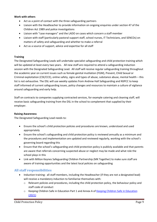#### **Work with others**

- Act as a point of contact with the three safeguarding partners
- Liaison with the Headteacher to provide information on ongoing enquiries under section 47 of the Children Act 1989 and police investigations
- Liaison with "case managers" and the LADO on cases which concern a staff member
- Liaison with staff (particularly pastoral support staff, school nurses, IT Technicians, and SENCOs) on matters of safety and safeguarding and whether to make a referral
- Act as a source of support, advice and expertise for all staff

#### **Training**

The Designated Safeguarding Leads will undertake specialist safeguarding and child protection training which will be updated at least every two years. All new staff are required to attend a safeguarding induction session with the Designated Safeguarding Lead. All staff will receive regular safeguarding training throughout the academic year on current issues such as female genital mutilation (FGM), Prevent, Child Sexual or Criminal exploitation (CSE/CCE), online safety, signs and types of abuse, substance abuse, mental health – this list is not exhaustive. The DSL will use weekly updates from Andrew Hall Safeguarding and NSPCC to keep staff informed of current safeguarding issues, policy changes and resources to maintain a culture of vigilance around safeguarding and early help.

Staff on contracts to companies supplying contracted services, for example catering and cleaning staff, will receive basic safeguarding training from the DSL in the school to complement that supplied by their employer.

#### **Raising Awareness**

The Designated Safeguarding Lead needs to:

- Ensure the school's child protection policies and procedures are known, understood and used appropriately
- Ensure the school's safeguarding and child protection policy is reviewed annually as a minimum and the procedures and implementation are updated and reviewed regularly, working with the school's governing board regarding this
- Ensure that the school's safeguarding and child protection policy is publicly available and that parents are aware that referrals concerning suspected abuse or neglect may be made and what role the school plays in this
- Link with Milton Keynes Safeguarding Children Partnership (MK Together) to make sure staff are aware of training opportunities and the latest local policies on safeguarding

## <span id="page-8-0"></span>**All staff responsibilities**

- Induction training: all staff members, including the Headteacher (if they are not a designated lead) will receive a mandatory induction to familiarise themselves with:
	- o Relevant policies and procedures, including the child protection policy, the behaviour policy and staff code of conduct
	- o [Keeping Children Safe in Education](https://assets.publishing.service.gov.uk/government/uploads/system/uploads/attachment_data/file/1007260/Keeping_children_safe_in_education_2021.pdf) Part 1 and Annex A of Keeping Children Safe in Education [\(2021\)](https://assets.publishing.service.gov.uk/government/uploads/system/uploads/attachment_data/file/1007260/Keeping_children_safe_in_education_2021.pdf)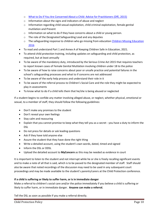- o [What to Do If You Are Concerned About a Child: Advice for Practitioners \(DfE, 2015\)](https://www.gov.uk/government/uploads/system/uploads/attachment_data/file/419604/What_to_do_if_you_re_worried_a_child_is_being_abused.pdf)
- o Information about the signs and indicators of abuse and neglect
- $\circ$  Information regarding child sexual exploitation, child criminal exploitation, female genital mutilation and Prevent
- o Information on what to do if they have concerns about a child or young person.
- o The role of the Designated Safeguarding Lead and any deputies
- o The safeguarding response to children who go missing from education [Children Missing Education](https://assets.publishing.service.gov.uk/government/uploads/system/uploads/attachment_data/file/550416/Children_Missing_Education_-_statutory_guidance.pdf)  [2016](https://assets.publishing.service.gov.uk/government/uploads/system/uploads/attachment_data/file/550416/Children_Missing_Education_-_statutory_guidance.pdf)
- To read and understand Part 1 and Annex A of Keeping Children Safe in Education, 2021.
- To attend child protection training, including updates on safeguarding and child protection, as required, but at least annually
- To be aware of the mandatory duty, introduced by the Serious Crime Act 2015 that requires teachers to report known cases of Female Genital Mutilation involving children under 18 to the police
- To be aware of how to raise concerns about poor or unsafe practice and potential failures in the school's safeguarding processes and what to if concerns are not addressed
- To be aware of the early help process and understand their role in it
- To be aware of the referral process to Children's Social Care and the role they might be expected to play in assessments
- To know what to do if a child tells them that he/she is being abused or neglected

If a student begins to confide any matter involving alleged abuse, or neglect, whether physical, emotional or sexual, to a member of staff, they should follow the following guidelines:

- Don't make any promises to the student
- Don't reveal your own feelings
- Stay calm and reassuring
- Explain that you cannot promise to keep what they tell you as a secret you have a duty to inform the DSL
- Do not press for details or ask leading questions
- Ask if they have told anyone else
- Assure the student that they have done the right thing
- Write a detailed account, using the student's own words, dated, timed and signed
- Inform the DSL or DDSL
- Upload the detailed account to **MyConcern** as this may be needed as evidence in court

It is important to listen to the student and not interrupt while he or she is freely recalling significant events and to make a note of all that is said, which is to be passed to the designated member of staff. Staff should also be aware that noted recordings of the discussion may need to be used in any subsequent court proceedings and may be made available to the student's parents/carers at the Child Protection conference.

#### **If a child is suffering or likely to suffer harm, or is in immediate danger**

Make a referral to children's social care and/or the police immediately if you believe a child is suffering or likely to suffer harm, or in immediate danger. **Anyone can make a referral.**

Tell the DSL as soon as possible if you make a referral directly.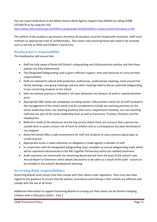You can report child abuse to the Milton Keynes Multi-Agency Support Hub (MASH) by calling 01908 525169/70 or by using this link:

<https://www.milton-keynes.gov.uk/children-young-people-families/children-s-social-care/worried-about-a-child>

The welfare of the student is paramount; therefore all situations must be treated with sensitivity. Staff must maintain an appropriate level of confidentiality. This means only involving those who need to be involved, such as the DSL or DDSL and Children's Social Care.

# <span id="page-10-0"></span>**Headteacher's responsibility**

The Headteacher will ensure that:

- Staff are fully aware of Kents Hill School's safeguarding and child protection policies and that these policies are fully implemented
- The Designated Safeguarding Lead is given sufficient support, time and resources to carry out their responsibilities
- Staff are released to attend child protection conferences, professionals meetings, team around the family meetings, core group meetings and any other meetings held to discuss potential safeguarding issues concerning students at the school
- Safe recruitment practice is followed in all cases whenever recruiting to all paid or unpaid volunteer posts
- Appropriate DBS checks are completed, including section 128 provision checks for all staff involved in the management of the school which may be considered to include any teaching positions on the senior leadership team, any teaching positions that carry a department headship, any non-teaching staff who are part of the senior leadership team as well as Governors, Trustees, Directors and the Headteacher
- Referral is made to the disclosure and barring service where there are concerns that a person has caused harm or poses a future risk of harm to children and as a consequence has been dismissed or has resigned
- Kents Hill School offers a safe environment for staff and students to raise concerns about poor or unsafe practice
- Appropriate action is taken whenever an allegation is made against a member of staff
- In conjunction with the Designated Safeguarding Lead, complete an annual safeguarding audit, which will be submitted electronically to the MK Together Partnership within the notified timeframe
- Audit outcomes are shared with the Governing Board and will form the basis of the school's own Annual Report to Governors which details key actions to be taken as a result of the audit - actions to be included in the school's development planning

# <span id="page-10-1"></span>**Governing Body responsibilities**

Governing Boards must ensure that they comply with their duties under legislation. They must also have regard to this guidance to ensure that the policies, procedures and training in their schools are effective and comply with the law at all times.

Additional information to support Governing Boards in carrying out their duties can be found in Keeping Children Safe in Education (2021) – Part 2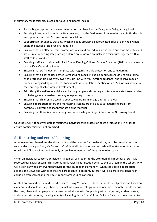In summary responsibilities placed on Governing Boards include:

- Appointing an appropriate senior member of staff to act as the Designated Safeguarding Lead.
- Ensuring, in conjunction with the Headteacher, that the Designated Safeguarding Lead fulfils the role and upholds the school's statutory responsibilities
- Supporting inter-agency working, which includes providing a coordinated offer of early help when additional needs of children are identified
- Ensuring that an effective child protection policy and procedures are in place and that the policy and structures supporting safeguarding children are reviewed annually as a minimum, together with a staff code of conduct
- Ensuring staff are provided with Part One of Keeping Children Safe in Education (2021) and are aware of specific safeguarding issues
- Ensuring that staff induction is in place with regards to child protection and safeguarding
- Ensuring that all of the Designated Safeguarding Leads (including deputies) should undergo formal child protection training every two years (in line with MK Together guidance) and receive regular (annual) safeguarding refreshers (for example via e-bulletins, meeting other DSLs, or taking time to read and digest safeguarding developments)
- Prioritising the welfare of children and young people and creating a culture where staff are confident to challenge senior leaders over any safeguarding concerns
- Ensuring that children are taught about safeguarding in an age appropriate way
- Ensuring appropriate filters and monitoring systems are in place to safeguard children from potentially harmful and inappropriate online material
- Ensuring that there is a nominated governor for safeguarding children on the Governing Board

Governors will not be given details relating to individual child protection cases or situations, in order to ensure confidentiality is not breached.

# <span id="page-11-0"></span>**5. Reporting and record keeping**

All safeguarding discussions, decisions made and the reasons for the decisions, must be recorded on the secure electronic platform, MyConcern. Confidential information and records will be stored on this platform or in locked filing cabinets and are only accessible to members of the safeguarding team.

When an individual concern, or incident is seen by, or brought to the attention of, a member of staff it is reported using MyConcern. This automatically raises a notification email to the DSL team in the school, who will action early help intervention/advice for the student and/or family. When considering appropriate actions, the views and wishes of the child are taken into account, but staff will be alert to the dangers of colluding with secrets and they must report safeguarding concerns.

All staff are trained to use and report concerns using MyConcern. Reports should be objective and based on evidence and should distinguish between fact, observation, allegation and opinion. The note should record the time, place and people present as well as what was said. Supporting evidence (letters, student's work, and student statements, meeting minutes, including those from Children's Social Care) can be uploaded to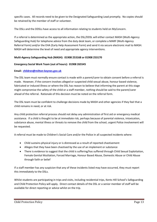specific cases. All records need to be given to the Designated Safeguarding Lead promptly. No copies should be retained by the member of staff or volunteer.

The DSLs and the DDSLs have access to all information relating to students held on MyConcern.

If a referral is determined as the appropriate action, the DSL/DDSL will either contact MASH (Multi-Agency Safeguarding Hub) for telephone advice from the duty desk team, or complete a MARF (Multi-Agency Referral Form) and/or the EHA (Early Help Assessment Form) and send it via secure electronic mail to MASH. MASH will determine the level of need and appropriate agency interventions.

#### **Multi-Agency Safeguarding Hub (MASH): 01908 253168 or 01908 253170**

#### **Emergency Social Work Team (out of hours): 01908 265545**

#### **Email: [children@milton-keynes.gov.uk](mailto:children@milton-keynes.gov.uk)**

The DSL team must normally ensure contact is made with a parent/carer to obtain consent before a referral is made. However, if the concern involves alleged or suspected child sexual abuse, honour based violence, fabricated or induced illness or where the DSL has reason to believe that informing the parent at this stage might compromise the safety of the child or a staff member, nothing should be said to the parent/carer ahead of the referral. Rationale of this decision must be noted on the referral form.

The DSL team must be confident to challenge decisions made by MASH and other agencies if they feel that a child remains in need, or at risk.

Any child protection referral process should not delay any administration of first aid or emergency medical assistance. If a child is thought to be at immediate risk, perhaps because of parental violence, intoxication, substance abuse, mental illness or threats to remove the child from the school, urgent Police involvement will be requested.

A referral must be made to Children's Social Care and/or the Police in all suspected incidents where:

- Child sustains physical injury or is distressed as a result of reported chastisement
- Alleges that they have been chastised by the use of an implement or substance
- There is evidence to suggest that the child is suffering/has suffered through Child Sexual Exploitation, Female Genital Mutilation, Forced Marriage, Honour Based Abuse, Domestic Abuse or Child Abuse through faith or belief

If a staff member has any suspicion that any of these incidents listed may have occurred, they must report this immediately to the DSLs.

Whilst students are participating in trips and visits, including residential trips, Kents Hill School's Safeguarding and Child Protection Policy will apply. Direct contact details of the DSL or a senior member of staff will be available for direct reporting or advice whilst on the trip.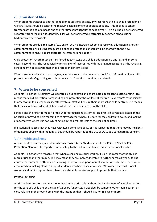# <span id="page-13-0"></span>**6. Transfer of files**

When students transfer to another school or educational setting, any records relating to child protection or welfare issues should be sent to the receiving establishment as soon as possible. This applies to school transfers at the end of a phase and at other times throughout the school year. This file should be transferred separately from the main student file. Files will be transferred electronically between schools using MyConcern where possible.

When students are dual registered (e.g. on roll at a mainstream school but receiving education in another establishment), any existing safeguarding or child protection concerns will be shared with the new establishment to ensure appropriate risk assessment and support.

Child protection record must be transferred at each stage of a child's education, up until 18 and, in some cases, beyond this. The responsibility for transfer of records lies with the originating setting as the receiving school might not be aware that child protection concerns exist.

When a student joins the school in-year, a letter is sent to the previous school for confirmation of any child protection and safeguarding records or concerns. A receipt is retained and dated.

# <span id="page-13-1"></span>**7. When to be concerned**

At Kents Hill School & Nursery, we operate a child-centred and coordinated approach to safeguarding. This means that child protection, safeguarding and promoting the welfare of children is everyone's responsibility. In order to fulfil this responsibility effectively, all staff will ensure their approach is child centred. This means that they should consider, at all times, what is in the best interests of the child.

Schools and their staff form part of the wider safeguarding system for children. This system is based on the principle of providing help for families to stay together where it is safe for the children to do so, and looking at alternatives where it is not, whilst acting in the best interests of the child at all times**.**

If a student discloses that they have witnessed domestic abuse, or it is suspected that there may be incidents of domestic abuse within the family, this should be reported to the DSL or DDSL as a safeguarding concern.

## <span id="page-13-2"></span>**Vulnerable students**

Any incidents concerning a student who is a **Looked After Child** or subject to a **Child in Need or Child Protection Plan** must be reported immediately to the DSL who will raise this with the social worker.

At Kents Hill School, we recognise that when a child has a social worker, it is an indicator that the child is more at risk than other pupils. This may mean they are more vulnerable to further harm, as well as facing educational barriers to attendance, learning, behaviour and poor mental health. We take these needs into account when making plans to support students who have a social worker. We work closely with social workers and family support teams to ensure students receive support to promote their welfare.

#### **Private Fostering**

A private fostering arrangement is one that is made privately (without the involvement of a local authority) for the care of a child under the age of 16 years (under 18, if disabled) by someone other than a parent or close relative, in their own home, with the intention that it should last for 28 days or more.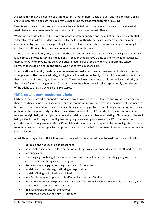A close family relative is defined as a 'grandparent, brother, sister, uncle or aunt' and includes half-siblings and step-parents; it does not include great-aunts or uncles, great grandparents or cousins.

Parents and private foster carers both have a legal duty to inform the relevant local authority at least six weeks before the arrangement is due to start; not to do so is a criminal offence.

Whilst most privately fostered children are appropriately supported and looked after, they are a potentially vulnerable group who should be monitored by the local authority, particularly when the child has come from another country. In some cases, privately fostered children are affected by abuse and neglect, or may be involved in trafficking, child sexual exploitation or modern-day slavery.

Schools have a mandatory duty to report to the local authority where they are aware or suspect that a child is subject to a private fostering arrangement. Although schools have a duty to inform the local authority, there is no duty for anyone, including the private foster carer or social workers to inform the school. However, it should be clear to the school who has parental responsibility.

School staff should notify the designated safeguarding lead when they become aware of private fostering arrangements. The designated safeguarding lead will speak to the family of the child involved to check that they are aware of their duty to inform the LA. The school itself has a duty to inform the local authority of the private fostering arrangements. On admission to the school, we will take steps to verify the relationship of the adults to the child who is being registered.

# <span id="page-14-0"></span>**Children who may require early help**

**Early help** means providing support as soon as a problem arises to assist families and young people before their needs become acute and social care or other specialist intervention may be necessary. All staff need to be aware of, and understand, their role in identifying emerging problems and sharing information with other professionals to support early identification and assessment of a child's needs. It is important for children to receive the right help, at the right time, to address risks and prevent issues escalating. This also includes staff being active in monitoring and feeding back ongoing or escalating concerns to the DSL, to ensure due consideration can be given to a referral if the child's situation does not appear to be improving. Staff may be required to support other agencies and professionals in an early help assessment, in some cases acting as the lead professional.

All adults working at Kents Hill School need to be alert to the potential need for early help for a child who:

- Is disabled and has specific additional needs
- Has special educational needs (whether or not they have a statutory Education, Health and Care Plan)
- Is a young carer
- Is showing signs of being drawn in to anti-social or criminal behaviour, including gang involvement and association with organised crime groups
- Is frequently missing/goes missing from care or from home
- Is at risk of modern slavery, trafficking or exploitation
- Is at risk of being radicalised or exploited
- Has a family member in prison, or is affected by parental offending
- Is in a family circumstance presenting challenges for the child, such as drug and alcohol misuse, adult mental health issues and domestic abuse
- Is misusing drugs or alcohol themselves
- Has returned home to their family from care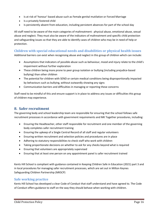- Is at risk of 'honour'-based abuse such as Female genital mutilation or Forced Marriage
- Is a privately fostered child
- Is persistently absent from education, including persistent absences for part of the school day

All staff need to be aware of the main categories of maltreatment: physical abuse, emotional abuse, sexual abuse and neglect. They must also be aware of the indicators of maltreatment and specific child protection and safeguarding issues so that they are able to identify cases of children who may be in need of help or protection.

## <span id="page-15-0"></span>**Children with special educational needs and disabilities or physical health issues**

Additional barriers can exist when recognising abuse and neglect in this group of children which can include:

- Assumptions that indicators of possible abuse such as behaviour, mood and injury relate to the child's impairment without further exploration
- These children being more prone to peer group isolation or bullying (including prejudice-based bullying) than other children
- The potential for children with SEND or certain medical conditions being disproportionally impacted by behaviours such as bullying, without outwardly showing any signs
- Communication barriers and difficulties in managing or reporting these concerns

Staff need to be mindful of this and ensure support is in place to address any issues or difficulties this group of children may experience.

## <span id="page-15-1"></span>**8. Safer recruitment**

The governing body and school leadership team are responsible for ensuring that the school follows safe recruitment processes in accordance with government requirements and MK Together procedures, including:

- Ensuring the Headteacher, other staff responsible for recruitment and one member of the governing body completes safer recruitment training
- Ensuring the upkeep of a Single Central Record of all staff and regular volunteers
- Ensuring written recruitment and selection policies and procedures are in place
- Adhering to statutory responsibilities to check staff who work with children
- Taking proportionate decisions on whether to ask for any checks beyond what is required
- Ensuring that volunteers are appropriately supervised
- Ensuring that at least one person on any appointment panel is safer recruitment trained

Kents Hill School is compliant with guidance contained in Keeping Children Safe in Education (2021) part 3 and in local procedures for managing safer recruitment processes, which are set out in Milton Keynes Safeguarding Children Partnership (MKSCP)

## <span id="page-15-2"></span>**Safe working practice**

Kents Hill School has developed a clear Code of Conduct that staff understand and have agreed to. The Code of Conduct offers guidance to staff on the way they should behave when working with children.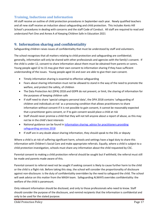# <span id="page-16-0"></span>**Training, Inductions and Information**

All staff receive an outline of child protection procedures in September each year. Newly qualified teachers and all new staff receive an induction about safeguarding and child protection. This includes Kents Hill School's procedures in dealing with concerns and the staff Code of Conduct. All staff are required to read and understand Part One and Annex A of Keeping Children Safe in Education 2021

# <span id="page-16-1"></span>**9. Information sharing and confidentiality**

Safeguarding children raises issues of confidentiality that must be understood by staff and volunteers.

The school recognises that all matters relating to child protection and safeguarding are confidential; generally, information will only be shared with other professionals and agencies with the family's consent. If the child is under 12, consent to share information about them must be obtained from parents or carers. Young people aged 12 to 15 may give their own consent to information sharing if they have sufficient understanding of the issues. Young people aged 16 and over are able to give their own consent.

- Timely information sharing is essential to effective safeguarding
- Fears about sharing information must not be allowed to stand in the way of the need to promote the welfare, and protect the safety, of children
- The Data Protection Act (DPA) 2018 and GDPR do not prevent, or limit, the sharing of information for the purposes of keeping children safe
- If staff need to share 'special category personal data', the DPA 2018 contains 'safeguarding of children and individuals at risk' as a processing condition that allows practitioners to share information without consent if it is not possible to gain consent, it cannot be reasonably expected that a practitioner gains consent, or if to gain consent would place a child at risk
- Staff should never promise a child that they will not tell anyone about a report of abuse, as this may not be in the child's best interests
- National guidance can be found in Information sharing: advice for practitioners providing safeguarding services 2018
- If staff are in any doubt about sharing information, they should speak to the DSL or deputy

Where a child is at risk of suffering significant harm, schools and settings have a legal duty to share this information with Children's Social Care and make appropriate referrals. Equally, where a child is subject to a child protection investigation, schools must share any information about the child requested by CSC.

Parental consent to making a child protection referral should be sought but if withheld, the referral must still be made and parents made aware of this.

Parental consent to referral need not be sought if seeking consent is likely to cause further harm to the child or the child is a flight risk. Before taking this step, the school will consider the proportionality of disclosure against non-disclosure: is the duty of confidentiality overridden by the need to safeguard the child. The school will seek advice on this matter from the MASH team. Safeguarding ALWAYS overrides confidentiality: the welfare of the child is paramount.

Only relevant information should be disclosed, and only to those professionals who need to know. Staff should consider the purpose of the disclosure, and remind recipients that the information is confidential and only to be used for the stated purpose.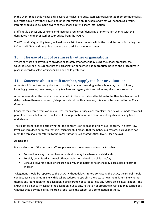In the event that a child makes a disclosure of neglect or abuse, staff cannot guarantee them confidentiality, but must explain why they have to pass the information on, to whom and what will happen as a result. Parents should also be made aware of the school's duty to share information.

Staff should discuss any concerns or difficulties around confidentiality or information sharing with the designated member of staff or seek advice from the MASH.

The DSL and safeguarding team, will maintain a list of key contacts within the Local Authority including the MASH and LADO; and the police may be able to advise on who to contact.

# <span id="page-17-0"></span>**10. The use of school premises by other organisations**

Where services or activities are provided separately by another body using the school premises, the Governors will seek assurance that the organisation concerned has appropriate policies and procedures in place in regard to safeguarding children and child protection.

# <span id="page-17-1"></span>**11. Concerns about a staff member, supply teacher or volunteer**

At Kents Hill School we recognise the possibility that adults working in the school may harm children, including governors, volunteers, supply teachers and agency staff and takes any allegations seriously.

Any concerns about the conduct of other adults in the school should be taken to the Headteacher without delay. Where there are concerns/allegations about the Headteacher, this should be referred to the Chair of Governors.

Concerns may come from various sources, for example, a suspicion; complaint; or disclosure made by a child, parent or other adult within or outside of the organisation; or as a result of vetting checks having been undertaken.

The Headteacher has to decide whether the concern is an allegation or low-level concern. The term 'lowlevel' concern does not mean that it is insignificant, it means that the behaviour towards a child does not meet the threshold for referral to the Local Authority Designated Officer (LADO) (see below).

## **Allegations**

It is an allegation if the person (staff, supply teachers, volunteers and contractors) has:

- Behaved in a way that has harmed a child, or may have harmed a child and/or;
- Possibly committed a criminal offence against or related to a child and/or;
- Behaved towards a child or children in a way that indicates he or she may pose a risk of harm to children

 Allegations should be reported to the LADO 'without delay'. Before contacting the LADO, the school should conduct basic enquiries in line with local procedures to establish the facts to help them determine whether there is any foundation to the allegation, being careful not to jeopardise any future police investigation. The LADO's role is not to investigate the allegation, but to ensure that an appropriate investigation is carried out, whether that is by the police, children's social care, the school, or a combination of these.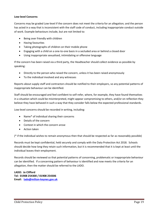#### **Low-level Concerns**

Concerns may be graded Low-level if the concern does not meet the criteria for an allegation; and the person has acted in a way that is inconsistent with the staff code of conduct, including inappropriate conduct outside of work. Example behaviours include, but are not limited to:

- Being over friendly with children
- Having favourites
- Taking photographs of children on their mobile phone
- Engaging with a child on a one-to-one basis in a secluded area or behind a closed door
- Using inappropriate sexualised, intimidating or offensive language

If the concern has been raised via a third party, the Headteacher should collect evidence as possible by speaking:

- Directly to the person who raised the concern, unless it has been raised anonymously
- To the individual involved and any witnesses

Reports about supply staff and contractors should be notified to their employers, so any potential patterns of inappropriate behaviour can be identified.

Staff should be encouraged and feel confident to self-refer, where, for example, they have found themselves in a situation which could be misinterpreted, might appear compromising to others, and/or on reflection they believe they have behaved in such a way that they consider falls below the expected professional standards.

Low-level concerns should be recorded in writing, including:

- Name\* of individual sharing their concerns
- Details of the concern
- Context in which the concern arose
- Action taken

(\* if the individual wishes to remain anonymous then that should be respected as far as reasonably possible)

Records must be kept confidential, held securely and comply with the Data Protection Act 2018. Schools should decide how long they retain such information, but it is recommended that it is kept at least until the individual leaves their employment.

Records should be reviewed so that potential patterns of concerning, problematic or inappropriate behaviour can be identified. If a concerning pattern of behaviour is identified and now meets the criteria for an allegation, then the matter should be referred to the LADO.

**LADO: Jo Clifford Tel: 01908 254300 / 01908 254306 Email: [lado@milton-keynes.gov.uk](mailto:lado@milton-keynes.gov.uk)**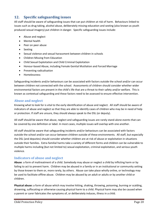# <span id="page-19-0"></span>**12. Specific safeguarding issues**

All staff should be aware of safeguarding issues that can put children at risk of harm. Behaviours linked to issues such as drug taking, alcohol abuse, deliberately missing education and sexting (also known as youth produced sexual imagery) put children in danger. Specific safeguarding issues include:

- Abuse and neglect
- Mental health
- Peer on peer abuse
- Sexting
- Sexual violence and sexual harassment between children in schools
- Children Missing from Education
- Child Sexual Exploitation and Child Criminal Exploitation
- Honour-based Abuse, including Female Genital Mutilation and Forced Marriage
- Preventing radicalisation
- Homelessness

Safeguarding incidents and/or behaviours can be associated with factors outside the school and/or can occur between children not connected with the school. Assessments of children should consider whether wider environmental factors are present in the child's life that are a threat to their safety and/or welfare. This is known as contextual safeguarding and these factors need to be assessed to ensure effective intervention.

## <span id="page-19-1"></span>**Abuse and neglect**

Knowing what to look for is vital to the early identification of abuse and neglect. All staff should be aware of indicators of abuse and neglect so that they are able to identify cases of children who may be in need of help or protection. If staff are unsure, they should always speak to the DSL (or deputy).

All staff should be aware that abuse, neglect and safeguarding issues are rarely stand-alone events that can be covered by one definition or label. In most cases, multiple issues will overlap with one another.

All staff should be aware that safeguarding incidents and/or behaviours can be associated with factors outside the school and/or can occur between children outside of these environments. All staff, but especially the DSL (and deputies) should consider whether children are at risk of abuse or exploitation in situations outside their families. Extra-familial harms take a variety of different forms and children can be vulnerable to multiple harms including (but not limited to) sexual exploitation, criminal exploitation, and serious youth violence.

## <span id="page-19-2"></span>**Indicators of abuse and neglect**

**Abuse**: a form of maltreatment of a child. Somebody may abuse or neglect a child by inflicting harm or by failing to act to prevent harm. Children may be abused in a family or in an institutional or community setting by those known to them or, more rarely, by others. Abuse can take place wholly online, or technology may be used to facilitate offline abuse. Children may be abused by an adult or adults or by another child or children.

**Physical abuse:** a form of abuse which may involve hitting, shaking, throwing, poisoning, burning or scalding, drowning, suffocating or otherwise causing physical harm to a child. Physical harm may also be caused when a parent or carer fabricates the symptoms of, or deliberately induces, illness in a child.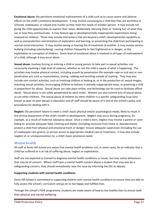**Emotional abuse:** the persistent emotional maltreatment of a child such as to cause severe and adverse effects on the child's emotional development. It may involve conveying to a child that they are worthless or unloved, inadequate, or valued only insofar as they meet the needs of another person. It may include not giving the child opportunities to express their views, deliberately silencing them or 'making fun' of what they say or how they communicate. It may feature age or developmentally inappropriate expectations being imposed on children. These may include interactions that are beyond a child's developmental capability as well as overprotection and limitation of exploration and learning, or preventing the child from participating in normal social interaction. It may involve seeing or hearing the ill-treatment of another. It may involve serious bullying (including cyberbullying), causing children frequently to feel frightened or in danger, or the exploitation or corruption of children. Some level of emotional abuse is involved in all types of maltreatment of a child, although it may occur alone.

**Sexual abuse:** involves forcing or enticing a child or young person to take part in sexual activities, not necessarily involving a high level of violence, whether or not the child is aware of what is happening. The activities may involve physical contact, including assault by penetration (for example rape or oral sex) or nonpenetrative acts such as masturbation, kissing, rubbing and touching outside of clothing. They may also include non-contact activities, such as involving children in looking at, or in the production of, sexual images, watching sexual activities, encouraging children to behave in sexually inappropriate ways, or grooming a child in preparation for abuse. Sexual abuse can take place online, and technology can be used to facilitate offline abuse. Sexual abuse is not solely perpetrated by adult males. Women can also commit acts of sexual abuse, as can other children. The sexual abuse of children by other children is a specific safeguarding issue (also known as peer on peer abuse) in education and all staff should be aware of it and of the school's policy and procedures for dealing with it.

**Neglect:** the persistent failure to meet a child's basic physical and/or psychological needs, likely to result in the serious impairment of the child's health or development. Neglect may occur during pregnancy, for example, as a result of maternal substance abuse. Once a child is born, neglect may involve a parent or carer failing to: provide adequate food, clothing and shelter (including exclusion from home or abandonment); protect a child from physical and emotional harm or danger; ensure adequate supervision (including the use of inadequate care-givers); or ensure access to appropriate medical care or treatment. It may also include neglect of, or unresponsiveness to, a child's basic emotional needs.

## <span id="page-20-0"></span>**Mental health**

All staff at Kents Hill School are aware that mental health problems can, in some cases, be an indicator that a child has suffered or is at risk of suffering abuse, neglect or exploitation.

Staff are not expected or trained to diagnose mental health conditions or issues, but may notice behaviours that may be of concern. Where staff have a mental health concern about a student that may also be a safeguarding concern, they should immediately raise the issue by informing the DSL or deputy.

## **Supporting students with mental health conditions**

Kents Hill School is committed to supporting children with mental health conditions to ensure they are able to fully access the school's curriculum and go on to live happy and fulfilled lives.

Through the school's PSHE programme, students are made aware of how to live healthy lives to ensure both their physical and mental wellbeing.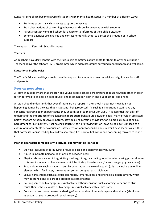Kents Hill School can become aware of students with mental health issues in a number of different ways:

- Students express a wish to access support themselves
- Staff observations of concerning behaviour or through conversation with students
- Parents contact Kents Hill School for advice or to inform us of their child's situation
- External agencies are involved and contact Kents Hill School to discuss the situation or in-school support

The support at Kents Hill School includes:

#### **Teachers**

As Teachers have daily contact with their class, it is sometimes appropriate for them to offer basic support. Teachers deliver the school's PSHE programme which addresses issues surround mental health and wellbeing.

#### **Educational Psychologist**

The Trust's Educational Psychologist provides support for students as well as advice and guidance for staff and parents.

#### <span id="page-21-0"></span>**Peer on peer abuse**

All staff should be aware that children and young people can be perpetrators of abuse towards other children (often referred to as peer on peer abuse), and it can happen both in and out of school and online.

All staff should understand, that even if there are no reports in the school it does not mean it is not happening, it may be the case that it is just not being reported. As such it is important if staff have any concerns regarding peer on peer abuse they should speak to their DSL or DDSL. It is essential that all staff understand the importance of challenging inappropriate behaviours between peers, many of which are listed below, that are actually abusive in nature. Downplaying certain behaviours, for example dismissing sexual harassment as "just banter", "just having a laugh", "part of growing up" or "boys being boys" can lead to a culture of unacceptable behaviours, an unsafe environment for children and in worst case scenarios a culture that normalises abuse leading to children accepting it as normal behaviour and not coming forward to report it.

#### **Peer on peer abuse is most likely to include, but may not be limited to:**

- Bullying (including cyberbullying, prejudice-based and discriminatory bullying)
- Abuse in intimate personal relationships between peers
- Physical abuse such as hitting, kicking, shaking, biting, hair pulling, or otherwise causing physical harm (this may include an online element which facilitates, threatens and/or encourages physical abuse)
- Sexual violence, such as rape, assault by penetration and sexual assault; (this may include an online element which facilitates, threatens and/or encourages sexual violence)
- Sexual harassment, such as sexual comments, remarks, jokes and online sexual harassment, which may be standalone or part of a broader pattern of abuse
- Causing someone to engage in sexual activity without consent, such as forcing someone to strip, touch themselves sexually, or to engage in sexual activity with a third party
- Consensual and non-consensual sharing of nudes and semi nudes images and or videos (also known as sexting or youth produced sexual imagery)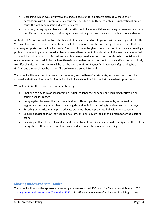- Upskirting, which typically involves taking a picture under a person's clothing without their permission, with the intention of viewing their genitals or buttocks to obtain sexual gratification, or cause the victim humiliation, distress or alarm
- Initiation/hazing type violence and rituals (this could include activities involving harassment, abuse or humiliation used as a way of initiating a person into a group and may also include an online element)

At Kents Hill School we will not tolerate this sort of behaviour and all allegations will be investigated robustly. Victims of any form of peer on peer abuse should be reassured that they are being taken seriously, that they are being supported and will be kept safe. They should never be given the impression that they are creating a problem by reporting abuse, sexual violence or sexual harassment. Nor should a victim ever be made to feel ashamed for making a report. Procedures are clearly explained in other school policies which contribute to our safeguarding responsibilities. Where there is reasonable cause to suspect that a child is suffering or likely to suffer significant harm, advice will be sought from the Milton Keynes Multi Agency Safeguarding Hub (MASH) and a referral may be made. The police may also be informed.

The school will take action to ensure that the safety and welfare of all students, including the victim, the accused and others directly or indirectly involved. Parents will be informed at the earliest opportunity.

We will minimise the risk of peer-on-peer abuse by:

- Challenging any form of derogatory or sexualised language or behaviour, including requesting or sending sexual images
- Being vigilant to issues that particularly affect different genders for example, sexualised or aggressive touching or grabbing towards girls, and initiation or hazing type violence towards boys
- Ensuring our curriculum helps to educate students about appropriate behaviour and consent
- Ensuring students know they can talk to staff confidentially by speaking to a member of the pastoral team.
- <span id="page-22-0"></span> Ensuring staff are trained to understand that a student harming a peer could be a sign that the child is being abused themselves, and that this would fall under the scope of this policy

## **Sharing nudes and semi-nudes**

The school will follow the approach based on guidance from the UK Council for Child Internet Safety (UKCIS) [Sharing nudes and semi-nudes \(December 2020\).](https://assets.publishing.service.gov.uk/government/uploads/system/uploads/attachment_data/file/1008443/UKCIS_sharing_nudes_and_semi_nudes_advice_for_education_settings__Web_accessible_.pdf) If staff are made aware of an incident involving sharing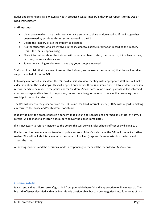nudes and semi-nudes (also known as 'youth produced sexual imagery'), they must report it to the DSL or DDSL immediately.

#### **Staff must not:**

- View, download or share the imagery, or ask a student to share or download it. If the imagery has been viewed by accident, this must be reported to the DSL
- Delete the imagery or ask the student to delete it
- Ask the student(s) who are involved in the incident to disclose information regarding the imagery (this is the DSL's responsibility)
- Share information about the incident with other members of staff, the student(s) it involves or their, or other, parents and/or carers
- Say or do anything to blame or shame any young people involved

Staff should explain that they need to report the incident, and reassure the student(s) that they will receive support and help from the DSL.

Following a report of an incident, the DSL hold an initial review meeting with appropriate staff and will make a decision about the next steps. This will depend on whether there is an immediate risk to student(s) and if a referral needs to be made to the police and/or Children's Social Care. In most cases parents will be informed at an early stage and involved in the process, unless there is a good reason to believe that involving them would put the pupil at risk of harm.

The DSL will refer to the guidance from the UK Council for Child Internet Safety (UKCIS) with regard to making a referral to the police and/or children's social care.

If at any point in the process there is a concern that a young person has been harmed or is at risk of harm, a referral will be made to children's social care and/or the police immediately.

If it is necessary to refer an incident to the police, this will be via a safer schools officer or by dialling 101

If a decision has been made not to refer to police and/or children's social care, the DSL will conduct a further review. This will include interviews with the students involved (if appropriate) to establish the facts and assess the risks.

<span id="page-23-0"></span>All sexting incidents and the decisions made in responding to them will be recorded on MyConcern.

# **Online safety**

It is essential that children are safeguarded from potentially harmful and inappropriate online material. The breadth of issues classified within online safety is considerable, but can be categorised into four areas of risk: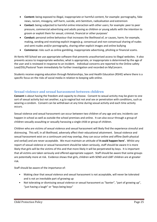- **Content:** being exposed to illegal, inappropriate or harmful content, for example: pornography, fake news, racism, misogyny, self-harm, suicide, anti-Semitism, radicalisation and extremism
- **Contact:** being subjected to harmful online interaction with other users; for example: peer to peer pressure, commercial advertising and adults posing as children or young adults with the intention to groom or exploit them for sexual, criminal, financial or other purposes'
- **Conduct:** personal online behaviour that increases the likelihood of, or causes, harm; for example, making, sending and receiving explicit images(e.g. consensual and non-consensual sharing of nudes and semi-nudes and/or pornography, sharing other explicit images and online bullying
- **Commerce:** risks such as online gambling, inappropriate advertising, phishing or financial scams.

At Kents Hill School we use appropriate software that prevents unauthorised access to illegal websites. It also prevents access to inappropriate websites; what is appropriate, or inappropriate is determined by the age of the user and is reviewed in response to an incident. Individual concerns are reported to the Online safety Lead/DSL/Pastoral Team immediately for further investigation and recorded on MyConcern.

<span id="page-24-0"></span>Students receive ongoing education through Relationships, Sex and Health Education (RSHE) where there is a specific focus on the risks of social media in relation to keeping safe online.

## **Sexual violence and sexual harassment between children**

**Consent** is about having the freedom and capacity to choose. Consent to sexual activity may be given to one sort of sexual activity but not another, e.g.to vaginal but not anal sex or penetration with conditions, such as wearing a condom. Consent can be withdrawn at any time during sexual activity and each time activity occurs.

Sexual violence and sexual harassment can occur between two children of any age and sex; incidents can happen in school as well as outside the school premises and online. It can also occur through a group of children sexually assaulting or sexually harassing a single child or group of children.

Children who are victims of sexual violence and sexual harassment will likely find the experience stressful and distressing. This will, in all likelihood, adversely affect their educational attainment. Sexual violence and sexual harassment exist on a continuum and may overlap, they can occur online and offline (both physical and verbal) and are never acceptable. We must maintain an attitude of **it could happen here'.** Whilst any report of sexual violence or sexual harassment should be taken seriously, staff should be aware it is more likely that girls will be the victims of this and that more likely it will be perpetrated by boys. It is important that all victims are taken seriously and offered appropriate support. Staff should be aware that some groups are potentially more at risk. Evidence shows that girls, children with SEND and LGBT children are at greater risk.

Staff should be aware of the importance of:

- Making clear that sexual violence and sexual harassment is not acceptable, will never be tolerated and is not an inevitable part of growing up
- Not tolerating or dismissing sexual violence or sexual harassment as "banter", "part of growing up", "just having a laugh" or "boys being boys"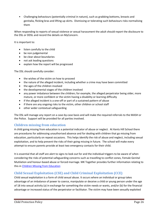• Challenging behaviours (potentially criminal in nature), such as grabbing bottoms, breasts and genitalia, flicking bras and lifting up skirts. Dismissing or tolerating such behaviours risks normalising them

When responding to reports of sexual violence or sexual harassment the adult should report the disclosure to the DSL or DDSL and record the details on MyConcern.

It is important to:

- listen carefully to the child
- be non-judgemental
- be clear about boundaries
- not ask leading questions
- explain how the report will be progressed

The DSL should carefully consider:

- the wishes of the victim on how to proceed
- the nature of the alleged incident, including whether a crime may have been committed
- the ages of the children involved
- the developmental stages of the children involved
- any power imbalance between the children; for example, the alleged perpetrator being older, more mature, or more confident or the victim having a disability or learning difficulty
- if the alleged incident is a one-off or part of a sustained pattern of abuse
- if there are any ongoing risks to the victim, other children or school staff
- other wider contextual safeguarding

The DSL will manage any report on a case-by-case basis and will make the required referrals to the MASH or the Police. Support will be provided for all parties involved.

## <span id="page-25-0"></span>**Children missing from education**

A child going missing from education is a potential indicator of abuse or neglect. At Kents Hill School there are procedures for addressing unauthorised absence and for dealing with children that go missing from education, particularly on repeat occasions. This helps identify the risk of abuse and neglect, including sexual exploitation, and to help prevent the risks of their going missing in future. The school will make every attempt to ensure parents provide at least two emergency contacts for their child.

It is essential that all staff are alert to signs to look out for and the individual triggers to be aware of when considering the risks of potential safeguarding concerns such as travelling to conflict zones, Female Genital Mutilation and honour-based abuse or forced marriage. MK Together provides further information relating to this i[n Children Missing from Education](http://mkscb.procedures.org.uk/ykylq/assessing-need-and-providing-help/additional-practice-guidance/children-missing-from-education) 

# <span id="page-25-1"></span>**Child Sexual Exploitation (CSE) and Child Criminal Exploitation (CCE)**

Child sexual exploitation is a form of child sexual abuse. It occurs where an individual or group takes advantage of an imbalance of power to coerce, manipulate or deceive a child or young person under the age of 18 into sexual activity (a) in exchange for something the victim needs or wants, and/or (b) for the financial advantage or increased status of the perpetrator or facilitator. The victim may have been sexually exploited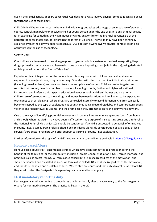even if the sexual activity appears consensual. CSE does not always involve physical contact; it can also occur through the use of technology.

Child Criminal Exploitation occurs where an individual or group takes advantage of an imbalance of power to coerce, control, manipulate or deceive a child or young person under the age of 18 into any criminal activity (a) in exchange for something the victim needs or wants, and/or (b) for the financial advantage o of the perpetrator or facilitator and/or (c) through the threat of violence. The victim may have been criminally exploited even if the activity appears consensual. CCE does not always involve physical contact; it can also occur through the use of technology.

### **County Lines**

County lines is a term used to describe gangs and organised criminal networks involved in exporting illegal drugs (primarily crack cocaine and heroin) into one or more importing areas [within the UK], using dedicated mobile phone lines or other form of "deal line".

Exploitation is an integral part of the county lines offending model with children and vulnerable adults exploited to move [and store] drugs and money. Offenders will often use coercion, intimidation, violence (including sexual violence) and weapons to ensure compliance of victims. Children can be targeted and recruited into county lines in a number of locations including schools, further and higher educational institutions, pupil referral units, special educational needs schools, children's homes and care homes. Children are often recruited to move drugs and money between locations and are known to be exposed to techniques such as 'plugging', where drugs are concealed internally to avoid detection. Children can easily become trapped by this type of exploitation as county lines gangs create drug debts and can threaten serious violence and kidnap towards victims (and their families) if they attempt to leave the county lines network.

One of the ways of identifying potential involvement in county lines are missing episodes (both from home and school), when the victim may have been trafficked for the purpose of transporting drugs and a referral to the National Referral Mechanism103 should be considered. If a child is suspected to be at risk of or involved in county lines, a safeguarding referral should be considered alongside consideration of availability of local services/third sector providers who offer support to victims of county lines exploitation.

Further information on the signs of a child's involvement in county lines is available i[n Home Office guidance](https://assets.publishing.service.gov.uk/government/uploads/system/uploads/attachment_data/file/863323/HOCountyLinesGuidance_-_Sept2018.pdf)

## <span id="page-26-0"></span>**Honour-based Abuse**

Honour-based abuse (HBA) encompasses crimes which have been committed to protect or defend the honour of the family and/or the community, including Female Genital Mutilation (FGM), forced marriage, and practices such as breast ironing. All forms of so called HBA are abuse (regardless of the motivation) and should be handled and escalated as such. All forms of so called HBA are abuse (regardless of the motivation) and should be handled and escalated as such. Where staff are concerned that a child might be at risk of HBA, they must contact the Designated Safeguarding Lead as a matter of urgency.

## <span id="page-26-1"></span>**FGM mandatory reporting duty**

Female genital mutilation refers to procedures that intentionally alter or cause injury to the female genital organs for non-medical reasons. The practice is illegal in the UK.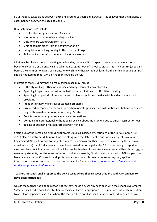FGM typically takes place between birth and around 15 years old; however, it is believed that the majority of cases happen between the ages of 5 and 8.

Risk factors for FGM include:

- Low level of integration into UK society
- Mother or a sister who has undergone FGM
- Girls who are withdrawn from PSHE
- Visiting female elder from the country of origin
- Being taken on a long holiday to the country of origin
- Talk about a 'special' procedure to become a woman

FGM may be likely if there is a visiting female elder, there is talk of a special procedure or celebration to become a woman, or parents wish to take their daughter out-of-school to visit an 'at-risk' country (especially before the summer holidays), or parents who wish to withdraw their children from learning about FGM. Staff should not assume that FGM only happens outside the UK.

Indications that FGM may have already taken place may include:

- Difficulty walking, sitting or standing and may even look uncomfortable
- Spending longer than normal in the bathroom or toilet due to difficulties urinating
- Spending long periods of time away from a classroom during the day with bladder or menstrual problems
- **•** Frequent urinary, menstrual or stomach problems
- Prolonged or repeated absences from school or college, especially with noticeable behaviour changes (e.g. withdrawal or depression) on the girl's return
- Reluctance to undergo normal medical examinations
- Confiding in a professional without being explicit about the problem due to embarrassment or fear
- Talking about pain or discomfort between her legs

Section 5B of the Female Genital Mutilation Act 2003 (as inserted by section 74 of the Serious Crime Act 2015) places a statutory duty upon teachers along with regulated health and social care professionals in England and Wales, to report to the police where they discover (either through disclosure by the victim or visual evidence) that FGM appears to have been carried out on a girl under 18. Those failing to report such cases will face disciplinary sanctions. It will be rare for teachers to see visual evidence, and they should not be examining students, but the same definition of what is meant by "to discover that an act of FGM appears to have been carried out" is used for all professionals to whom this mandatory reporting duty applies. Information on when and how to make a report can be found a[t Mandatory reporting of female genital](https://www.gov.uk/government/publications/mandatory-reporting-of-female-genital-mutilation-procedural-information)  [mutilation procedural](https://www.gov.uk/government/publications/mandatory-reporting-of-female-genital-mutilation-procedural-information) [information](https://www.gov.uk/government/publications/mandatory-reporting-of-female-genital-mutilation-procedural-information)

## **Teachers must personally report to the police cases where they discover that an act of FGM appears to have been carried out.**

Unless the teacher has a good reason not to, they should discuss any such case with the school's Designated Safeguarding Lead who will involve Children's Social Care as appropriate. The duty does not apply in relation to at risk or suspected cases (i.e. where the teacher does not discover that an act of FGM appears to have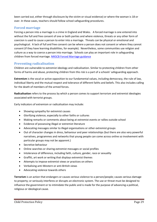been carried out, either through disclosure by the victim or visual evidence) or where the woman is 18 or over. In these cases, teachers should follow school safeguarding procedures.

## <span id="page-28-0"></span>**Forced marriage**

Forcing a person into a marriage is a crime in England and Wales. A forced marriage is one entered into without the full and free consent of one or both parties and where violence, threats or any other form of coercion is used to cause a person to enter into a marriage. Threats can be physical or emotional and psychological. A lack of full and free consent can be where a person does not consent or where they cannot consent (if they have learning disabilities, for example). Nevertheless, some communities use religion and culture as a way to coerce a person into marriage. Schools can play an important role in safeguarding children from forced marriage. [MKSCB Forced Marriage guidance](http://mkscb.procedures.org.uk/ykpxq/assessing-need-and-providing-help/additional-practice-guidance/forced-marriage) 

## <span id="page-28-1"></span>**Preventing radicalisation**

Children are vulnerable to extremist ideology and radicalisation. Similar to protecting children from other forms of harms and abuse, protecting children from this risk is a part of a schools' safeguarding approach.

**Extremism** is the vocal or active opposition to our fundamental values, including democracy, the rule of law, individual liberty and the mutual respect and tolerance of different faiths and beliefs. This also includes calling for the death of members of the armed forces.

**Radicalisation** refers to the process by which a person comes to support terrorism and extremist ideologies associated with terrorist groups.

Early indicators of extremism or radicalisation may include:

- Showing sympathy for extremist causes
- Glorifying violence, especially to other faiths or cultures
- Making remarks or comments about being at extremist events or rallies outside school
- Evidence of possessing illegal or extremist literature
- Advocating messages similar to illegal organisations or other extremist groups
- Out of character changes in dress, behaviour and peer relationships (but there are also very powerful narratives, programmes and networks that young people can come across online so involvement with particular groups may not be apparent.)
- Secretive behaviour
- Online searches or sharing extremist messages or social profiles
- Intolerance of difference, including faith, culture, gender, race or sexuality
- Graffiti, art work or writing that displays extremist themes
- Attempts to impose extremist views or practices on others
- Verbalising anti-Western or anti-British views
- Advocating violence towards others

**Terrorism** is an action that endangers or causes serious violence to a person/people; causes serious damage to property; or seriously interferes or disrupts an electronic system. The use or threat must be designed to influence the government or to intimidate the public and is made for the purpose of advancing a political, religious or ideological cause.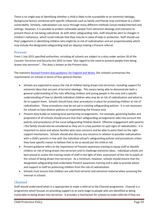There is no single way of identifying whether a child is likely to be susceptible to an extremist ideology. Background factors combined with specific influences such as family and friends may contribute to a child's vulnerability. Similarly, radicalisation can occur through many different methods (social media/internet) and settings. However, it is possible to protect vulnerable people from extremist ideology and intervene to prevent those at risk being radicalised. As with other safeguarding risks, staff should be alert to changes in children's behaviour, which could indicate that they may be in need of help or protection. Staff should use their judgement in identifying children who might be at risk of radicalisation and act proportionately which may include the designated safeguarding lead (or deputy) making a Prevent referral.

## <span id="page-29-0"></span>**Prevent**

From 1 July 2015 specified authorities, including all schools are subject to a duty under section 26 of the Counter-Terrorism and Security Act 2015 to have "due regard to the need to prevent people from being drawn into terrorism". This duty is known as the Prevent duty.

The statutor[y Revised Prevent duty guidance: for England and Wales \(](https://www.gov.uk/government/publications/prevent-duty-guidance)for schools) summarises the requirements on schools in terms of four general themes:

- Schools are expected to assess the risk of children being drawn into terrorism, including support for extremist ideas that are part of terrorist ideology. This means being able to demonstrate both a general understanding of the risks affecting children and young people in the area and a specific understanding of how to identify individual children who may be at risk of radicalisation and what to do to support them. Schools should have clear procedures in place for protecting children at risk of radicalisation. These procedures may be set out in existing safeguarding policies. It is not necessary for schools to have distinct policies on implementing the Prevent duty
- Prevent duty builds on existing local partnership arrangements. For example, governing bodies and proprietors of all schools should ensure that their safeguarding arrangements take into account the policies and procedures of the Local Safeguarding Children Board. Effective engagement with parents *I* the family should also be considered as they are in a key position to spot signs of radicalisation. It is important to assist and advise families who raise concerns and be able to point them to the right support mechanisms. Schools should also discuss any concerns in relation to possible radicalisation with a child's parents in line with the individual school's safeguarding policies and procedures unless they have specific reason to believe that to do so would put the child at risk
- Prevent guidance refers to the importance of Prevent awareness training to equip staff to identify children at risk of being drawn into terrorism and to challenge extremist ideas. Individual schools are best placed to assess the training needs of staff in the light of their assessment of the risk to pupils at the school of being drawn into terrorism. As a minimum, however, schools should ensure that the designated safeguarding lead undertakes Prevent awareness training and is able to provide advice and support to staff on protecting children from the risk of radicalisation
- Schools must ensure that children are safe from terrorist and extremist material when accessing the internet in schools

## <span id="page-29-1"></span>**Channel**

Staff should understand when it is appropriate to make a referral to the Channel programme. Channel is a programme which focuses on providing support at an early stage to people who are identified as being vulnerable to being drawn into terrorism. It provides a mechanism for schools to make referrals if they are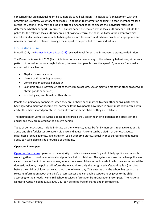concerned that an individual might be vulnerable to radicalisation. An individual's engagement with the programme is entirely voluntary at all stages. In addition to information sharing, if a staff member makes a referral to Channel, they may be asked to attend a Channel panel to discuss the individual referred to determine whether support is required. Channel panels are chaired by the local authority and include the police for the relevant local authority area. Following a referral the panel will assess the extent to which identified individuals are vulnerable to being drawn into terrorism, and, where considered appropriate and necessary consent is obtained, arrange for support to be provided to those individuals.

## <span id="page-30-0"></span>**Domestic abuse**

In April 2021, th[e Domestic Abuse Act \(2021\)](https://www.legislation.gov.uk/ukpga/2021/17/part/1/enacted) received Royal Assent and introduced a statutory definition.

The Domestic Abuse Act 2021 (Part 1) defines domestic abuse as any of the following behaviours, either as a pattern of behaviour, or as a single incident, between two people over the age of 16, who are 'personally connected' to each other:

- Physical or sexual abuse
- Violent or threatening behaviour
- Controlling or coercive behaviour
- Economic abuse (adverse effect of the victim to acquire, use or maintain money or other property; or obtain goods or services)
- Psychological, emotional or other abuse.

People are 'personally connected' when they are, or have been married to each other or civil partners; or have agreed to marry or become civil partners. If the two people have been in an intimate relationship with each other, have shared parental responsibility for the same child, or they are relatives.

The definition of Domestic Abuse applies to children if they see or hear, or experience the effects of, the abuse; and they are related to the abusive person.

Types of domestic abuse include intimate partner violence, abuse by family members, teenage relationship abuse and child/adolescent to parent violence and abuse. Anyone can be a victim of domestic abuse, regardless of sexual identity, age, ethnicity, socio-economic status, sexuality or background and domestic abuse can take place inside or outside of the home.

#### **Operation Encompass**

[Operation Encompass](https://www.operationencompass.org/) operates in the majority of police forces across England. It helps police and schools work together to provide emotional and practical help to children. The system ensures that when police are called to an incident of domestic abuse, where there are children in the household who have experienced the domestic incident, the police will inform the key adult (usually the designated safeguarding lead) in school before the child or children arrive at school the following day. This ensures that the school has up to date relevant information about the child's circumstances and can enable support to be given to the child according to their needs. Kents Hill School receives information from Operation Encompass. The National Domestic Abuse helpline (0808 2000 247) can be called free of charge and in confidence.